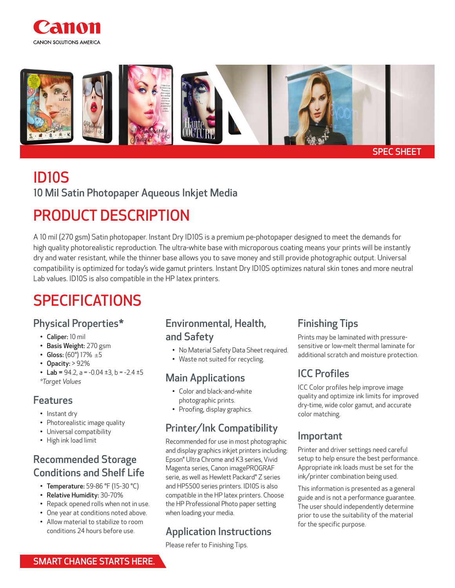



# ID10S

10 Mil Satin Photopaper Aqueous Inkjet Media

## PRODUCT DESCRIPTION

A 10 mil (270 gsm) Satin photopaper. Instant Dry ID10S is a premium pe-photopaper designed to meet the demands for high quality photorealistic reproduction. The ultra-white base with microporous coating means your prints will be instantly dry and water resistant, while the thinner base allows you to save money and still provide photographic output. Universal compatibility is optimized for today's wide gamut printers. Instant Dry ID10S optimizes natural skin tones and more neutral Lab values. ID10S is also compatible in the HP latex printers.

## SPECIFICATIONS

#### Physical Properties\*

- Caliper: 10 mil
- Basis Weight: 270 gsm
- Gloss:  $(60^{\circ})$  17%  $\pm$ 5
- Opacity: > 92%
- Lab =  $94.2$ , a =  $-0.04 \pm 3$ , b =  $-2.4 \pm 5$ *\*Target Values*

#### Features

- Instant dry
- Photorealistic image quality
- Universal compatibility
- High ink load limit

#### Recommended Storage Conditions and Shelf Life

- Temperature: 59-86 °F (15-30 °C)
- Relative Humidity: 30-70%
- Repack opened rolls when not in use.
- One year at conditions noted above.
- Allow material to stabilize to room conditions 24 hours before use.

#### Environmental, Health, and Safety

- No Material Safety Data Sheet required.
- Waste not suited for recycling.

#### Main Applications

- Color and black-and-white photographic prints.
- Proofing, display graphics.

## Printer/Ink Compatibility

Recommended for use in most photographic and display graphics inkjet printers including: Epson® Ultra Chrome and K3 series, Vivid Magenta series, Canon imagePROGRAF serie, as well as Hewlett Packard® Z series and HP5500 series printers. ID10S is also compatible in the HP latex printers. Choose the HP Professional Photo paper setting when loading your media.

## Application Instructions

Please refer to Finishing Tips.

## Finishing Tips

Prints may be laminated with pressuresensitive or low-melt thermal laminate for additional scratch and moisture protection.

## ICC Profiles

ICC Color profiles help improve image quality and optimize ink limits for improved dry-time, wide color gamut, and accurate color matching.

#### Important

Printer and driver settings need careful setup to help ensure the best performance. Appropriate ink loads must be set for the ink/printer combination being used.

This information is presented as a general guide and is not a performance guarantee. The user should independently determine prior to use the suitability of the material for the specific purpose.